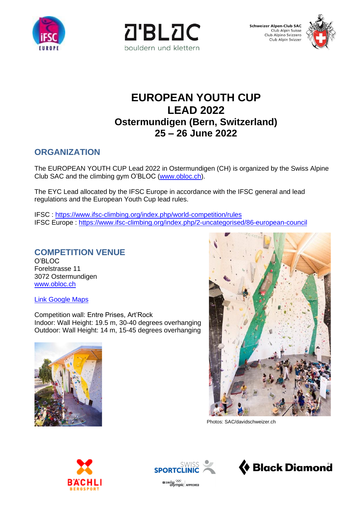





# **EUROPEAN YOUTH CUP LEAD 2022 Ostermundigen (Bern, Switzerland) 25 – 26 June 2022**

## **ORGANIZATION**

The EUROPEAN YOUTH CUP Lead 2022 in Ostermundigen (CH) is organized by the Swiss Alpine Club SAC and the climbing gym O'BLOC [\(www.obloc.ch\)](http://www.obloc.ch/).

The EYC Lead allocated by the IFSC Europe in accordance with the IFSC general and lead regulations and the European Youth Cup lead rules.

IFSC : <https://www.ifsc-climbing.org/index.php/world-competition/rules> IFSC Europe : <https://www.ifsc-climbing.org/index.php/2-uncategorised/86-european-council>

### **COMPETITION VENUE**

O'BLOC Forelstrasse 11 3072 Ostermundigen [www.obloc.ch](http://www.obloc.ch/)

[Link Google Maps](https://www.google.ch/maps/place/O)

Competition wall: Entre Prises, Art'Rock Indoor: Wall Height: 19.5 m, 30-40 degrees overhanging Outdoor: Wall Height: 14 m, 15-45 degrees overhanging





Photos: SAC/davidschweizer.ch





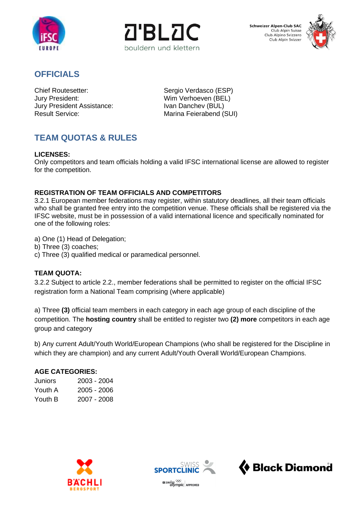



**Schweizer Alpen-Club SAC** Club Alpin Suisse Club Alpino Svizzero Club Alpin Svizzer



### **OFFICIALS**

Chief Routesetter: Sergio Verdasco (ESP)<br>
Jury President: Sergio Verhoeven (BEL) Jury President Assistance: Result Service: Marina Feierabend (SUI)

Wim Verhoeven (BEL)<br>Ivan Danchev (BUL)

# **TEAM QUOTAS & RULES**

#### **LICENSES:**

Only competitors and team officials holding a valid IFSC international license are allowed to register for the competition.

#### **REGISTRATION OF TEAM OFFICIALS AND COMPETITORS**

3.2.1 European member federations may register, within statutory deadlines, all their team officials who shall be granted free entry into the competition venue. These officials shall be registered via the IFSC website, must be in possession of a valid international licence and specifically nominated for one of the following roles:

a) One (1) Head of Delegation;

- b) Three (3) coaches;
- c) Three (3) qualified medical or paramedical personnel.

#### **TEAM QUOTA:**

3.2.2 Subject to article 2.2., member federations shall be permitted to register on the official IFSC registration form a National Team comprising (where applicable)

a) Three **(3)** official team members in each category in each age group of each discipline of the competition. The **hosting country** shall be entitled to register two **(2) more** competitors in each age group and category

b) Any current Adult/Youth World/European Champions (who shall be registered for the Discipline in which they are champion) and any current Adult/Youth Overall World/European Champions.

#### **AGE CATEGORIES:**

| Juniors | 2003 - 2004 |
|---------|-------------|
| Youth A | 2005 - 2006 |
| Youth B | 2007 - 2008 |





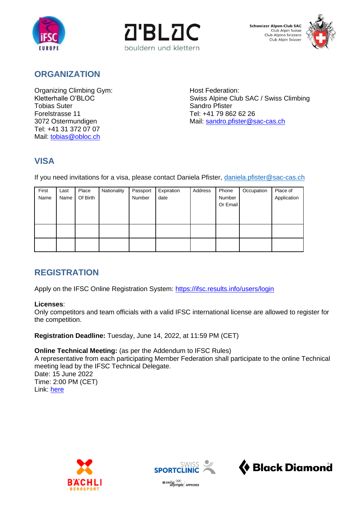





### **ORGANIZATION**

Organizing Climbing Gym:<br>
Kletterhalle O'BLOC<br>
Swiss Alpine Club Forelstrasse 11 Tel: +41 79 862 62 26 Tel: +41 31 372 07 07 Mail: [tobias@obloc.ch](mailto:tobias@obloc.ch)

Kletterhalle O'BLOC **Suite Club SAC / Swiss Climbing**<br>Tobias Suter Sandro Pfister Sandro Pfister Sandro Pfister 3072 Ostermundigen Mail: [sandro.pfister@sac-cas.ch](mailto:sandro.pfister@sac-cas.ch)

## **VISA**

If you need invitations for a visa, please contact Daniela Pfister, [daniela.pfister@sac-cas.ch](mailto:daniela.pfister@sac-cas.ch)

| First | Last | Place    | Nationality | Passport | Expiration | Address | Phone    | Occupation | Place of    |
|-------|------|----------|-------------|----------|------------|---------|----------|------------|-------------|
| Name  | Name | Of Birth |             | Number   | date       |         | Number   |            | Application |
|       |      |          |             |          |            |         | Or Email |            |             |
|       |      |          |             |          |            |         |          |            |             |
|       |      |          |             |          |            |         |          |            |             |
|       |      |          |             |          |            |         |          |            |             |
|       |      |          |             |          |            |         |          |            |             |
|       |      |          |             |          |            |         |          |            |             |
|       |      |          |             |          |            |         |          |            |             |

## **REGISTRATION**

Apply on the IFSC Online Registration System:<https://ifsc.results.info/users/login>

#### **Licenses**:

Only competitors and team officials with a valid IFSC international license are allowed to register for the competition.

**Registration Deadline:** Tuesday, June 14, 2022, at 11:59 PM (CET)

#### **Online Technical Meeting:** (as per the Addendum to IFSC Rules)

A representative from each participating Member Federation shall participate to the online Technical meeting lead by the IFSC Technical Delegate. Date: 15 June 2022 Time: 2:00 PM (CET)

Link: [here](https://teams.microsoft.com/l/meetup-join/19%3ameeting_ZmJiNzE1NzItMzIwMC00NTdiLWE0N2MtYTM3NmFkZWQ2MDcw%40thread.v2/0?context=%7b%22Tid%22%3a%22b51592bd-c732-4d95-a60e-80ece91e2a49%22%2c%22Oid%22%3a%22b87b1d1d-a594-445f-9823-4c7354bbe46f%22%7d)





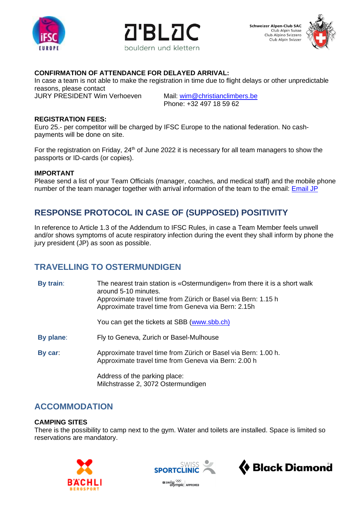



**Schweizer Alpen-Club SAC** Club Alpin Suisse Club Alpino Svizzero Club Alpin Svizzer



#### **CONFIRMATION OF ATTENDANCE FOR DELAYED ARRIVAL:**

In case a team is not able to make the registration in time due to flight delays or other unpredictable reasons, please contact

JURY PRESIDENT Wim Verhoeven Mail: [wim@christianclimbers.be](mailto:wim@christianclimbers.be)

Phone: +32 497 18 59 62

#### **REGISTRATION FEES:**

Euro 25.- per competitor will be charged by IFSC Europe to the national federation. No cashpayments will be done on site.

For the registration on Friday,  $24<sup>th</sup>$  of June 2022 it is necessary for all team managers to show the passports or ID-cards (or copies).

#### **IMPORTANT**

Please send a list of your Team Officials (manager, coaches, and medical staff) and the mobile phone number of the team manager together with arrival information of the team to the email: **Email JP** 

## **RESPONSE PROTOCOL IN CASE OF (SUPPOSED) POSITIVITY**

In reference to Article 1.3 of the Addendum to IFSC Rules, in case a Team Member feels unwell and/or shows symptoms of acute respiratory infection during the event they shall inform by phone the jury president (JP) as soon as possible.

### **TRAVELLING TO OSTERMUNDIGEN**

| By train: | The nearest train station is «Ostermundigen» from there it is a short walk<br>around 5-10 minutes.<br>Approximate travel time from Zürich or Basel via Bern: 1.15 h<br>Approximate travel time from Geneva via Bern: 2.15h |  |
|-----------|----------------------------------------------------------------------------------------------------------------------------------------------------------------------------------------------------------------------------|--|
|           | You can get the tickets at SBB (www.sbb.ch)                                                                                                                                                                                |  |
| By plane: | Fly to Geneva, Zurich or Basel-Mulhouse                                                                                                                                                                                    |  |
| By car:   | Approximate travel time from Zürich or Basel via Bern: 1.00 h.<br>Approximate travel time from Geneva via Bern: 2.00 h                                                                                                     |  |
|           | Address of the parking place:<br>Milchstrasse 2, 3072 Ostermundigen                                                                                                                                                        |  |

**ACCOMMODATION**

#### **CAMPING SITES**

There is the possibility to camp next to the gym. Water and toilets are installed. Space is limited so reservations are mandatory.







 $\frac{1}{2}$  swiss  $\frac{1}{2}$  approved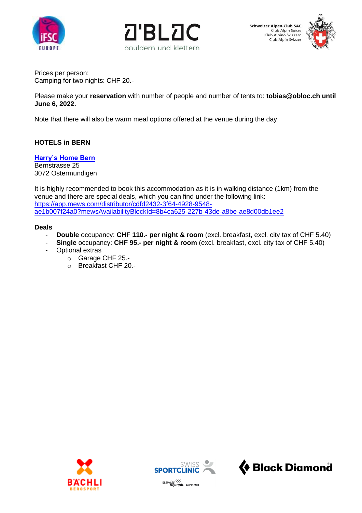





Prices per person: Camping for two nights: CHF 20.-

Please make your **reservation** with number of people and number of tents to: **[tobias@obloc.ch](mailto:tobias@obloc.ch) until June 6, 2022.**

Note that there will also be warm meal options offered at the venue during the day.

#### **HOTELS in BERN**

#### **[Harry's Home Bern](https://harrys-home.com/bern/en/)**

Bernstrasse 25 3072 Ostermundigen

It is highly recommended to book this accommodation as it is in walking distance (1km) from the venue and there are special deals, which you can find under the following link: [https://app.mews.com/distributor/cdfd2432-3f64-4928-9548](https://eur02.safelinks.protection.outlook.com/?url=https%3A%2F%2Fapp.mews.com%2Fdistributor%2Fcdfd2432-3f64-4928-9548-ae1b007f24a0%3FmewsAvailabilityBlockId%3D8b4ca625-227b-43de-a8be-ae8d00db1ee2&data=05%7C01%7C%7C8ed9775408a94756866208da31cd47af%7Cb51592bdc7324d95a60e80ece91e2a49%7C0%7C0%7C637877055732818478%7CUnknown%7CTWFpbGZsb3d8eyJWIjoiMC4wLjAwMDAiLCJQIjoiV2luMzIiLCJBTiI6Ik1haWwiLCJXVCI6Mn0%3D%7C2000%7C%7C%7C&sdata=K5NUR1jwGs89EJXOBoeHA9UNnMD2toDkLtY8NLhoK7o%3D&reserved=0) [ae1b007f24a0?mewsAvailabilityBlockId=8b4ca625-227b-43de-a8be-ae8d00db1ee2](https://eur02.safelinks.protection.outlook.com/?url=https%3A%2F%2Fapp.mews.com%2Fdistributor%2Fcdfd2432-3f64-4928-9548-ae1b007f24a0%3FmewsAvailabilityBlockId%3D8b4ca625-227b-43de-a8be-ae8d00db1ee2&data=05%7C01%7C%7C8ed9775408a94756866208da31cd47af%7Cb51592bdc7324d95a60e80ece91e2a49%7C0%7C0%7C637877055732818478%7CUnknown%7CTWFpbGZsb3d8eyJWIjoiMC4wLjAwMDAiLCJQIjoiV2luMzIiLCJBTiI6Ik1haWwiLCJXVCI6Mn0%3D%7C2000%7C%7C%7C&sdata=K5NUR1jwGs89EJXOBoeHA9UNnMD2toDkLtY8NLhoK7o%3D&reserved=0)

#### **Deals**

- **Double** occupancy: **CHF 110.- per night & room** (excl. breakfast, excl. city tax of CHF 5.40)
- **Single** occupancy: **CHF 95.- per night & room** (excl. breakfast, excl. city tax of CHF 5.40)
- Optional extras
	- o Garage CHF 25.-
	- o Breakfast CHF 20.-





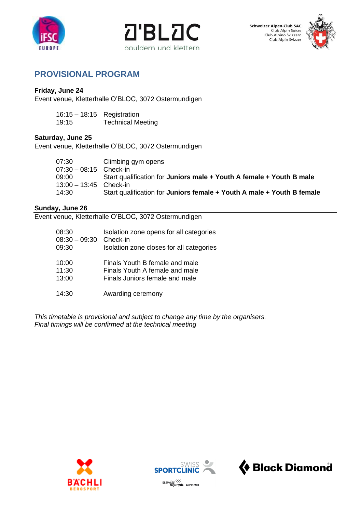



**Schweizer Alpen-Club SAC** Club Alpin Suisse<br>Club Alpino Svizzero<br>Club Alpin Svizzer



### **PROVISIONAL PROGRAM**

#### **Friday, June 24**

Event venue, Kletterhalle O'BLOC, 3072 Ostermundigen

| $16:15 - 18:15$ Registration |                          |
|------------------------------|--------------------------|
| 19:15                        | <b>Technical Meeting</b> |

#### **Saturday, June 25**

Event venue, Kletterhalle O'BLOC, 3072 Ostermundigen

| 07:30                    | Climbing gym opens                                                     |
|--------------------------|------------------------------------------------------------------------|
| 07:30 - 08:15 Check-in   |                                                                        |
| 09:00 —                  | Start qualification for Juniors male + Youth A female + Youth B male   |
| $13:00 - 13:45$ Check-in |                                                                        |
| 14:30                    | Start qualification for Juniors female + Youth A male + Youth B female |

#### **Sunday, June 26**

Event venue, Kletterhalle O'BLOC, 3072 Ostermundigen

| 08:30           | Isolation zone opens for all categories  |
|-----------------|------------------------------------------|
| $08:30 - 09:30$ | Check-in                                 |
| 09:30           | Isolation zone closes for all categories |
| 10:00           | Finals Youth B female and male           |
| 11:30           | Finals Youth A female and male           |
| 13:00           | Finals Juniors female and male           |
| 14:30           | Awarding ceremony                        |

*This timetable is provisional and subject to change any time by the organisers. Final timings will be confirmed at the technical meeting*